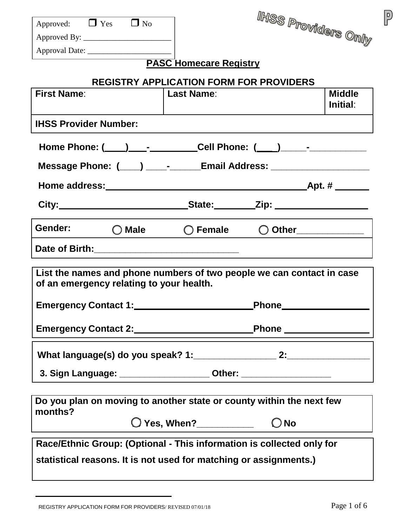| Approved: $\Box$ Yes $\Box$ No                                                                                                                                                                                                       |                                                 | ihiss p <sub>roviders Only</sub> |                           |
|--------------------------------------------------------------------------------------------------------------------------------------------------------------------------------------------------------------------------------------|-------------------------------------------------|----------------------------------|---------------------------|
|                                                                                                                                                                                                                                      |                                                 |                                  |                           |
|                                                                                                                                                                                                                                      |                                                 |                                  |                           |
|                                                                                                                                                                                                                                      | <b>PASC Homecare Registry</b>                   |                                  |                           |
|                                                                                                                                                                                                                                      | <b>REGISTRY APPLICATION FORM FOR PROVIDERS</b>  |                                  |                           |
| <b>First Name:</b>                                                                                                                                                                                                                   | Last Name:                                      |                                  | <b>Middle</b><br>Initial: |
| <b>IHSS Provider Number:</b>                                                                                                                                                                                                         |                                                 |                                  |                           |
|                                                                                                                                                                                                                                      |                                                 |                                  |                           |
| Message Phone: (____) _____-_____Email Address: ________________________________                                                                                                                                                     |                                                 |                                  |                           |
|                                                                                                                                                                                                                                      |                                                 |                                  |                           |
|                                                                                                                                                                                                                                      |                                                 |                                  |                           |
| Gender: <b>O</b> Male                                                                                                                                                                                                                | $\bigcirc$ Female $\bigcirc$ Other ____________ |                                  |                           |
| Date of Birth: <u>New York: New York: New York: New York: New York: New York: New York: New York: New York: New York: New York: New York: New York: New York: New York: New York: New York: New York: New York: New York: New Yo</u> |                                                 |                                  |                           |
| List the names and phone numbers of two people we can contact in case<br>of an emergency relating to your health.                                                                                                                    |                                                 |                                  |                           |
| <b>Emergency Contact 1:</b>                                                                                                                                                                                                          |                                                 | <b>Phone</b>                     |                           |
|                                                                                                                                                                                                                                      |                                                 |                                  |                           |
|                                                                                                                                                                                                                                      |                                                 |                                  |                           |
| 3. Sign Language: _______________________ Other: _______________________________                                                                                                                                                     |                                                 |                                  |                           |
|                                                                                                                                                                                                                                      |                                                 |                                  |                           |
| Do you plan on moving to another state or county within the next few                                                                                                                                                                 |                                                 |                                  |                           |
| months?                                                                                                                                                                                                                              |                                                 | $\bigcirc$ No                    |                           |
| Race/Ethnic Group: (Optional - This information is collected only for                                                                                                                                                                |                                                 |                                  |                           |

 $\boxed{P}$ 

REGISTRY APPLICATION FORM FOR PROVIDERS/ REVISED 07/01/18 Page 1 of 6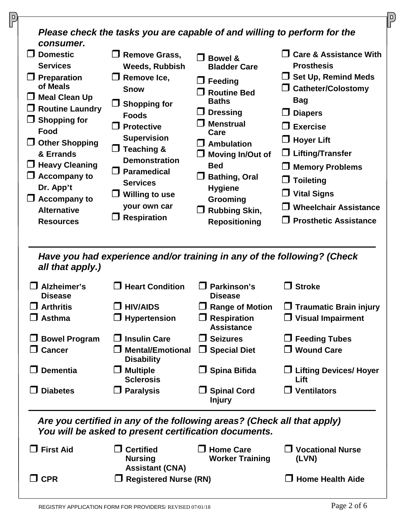| consumer.                                                                                                                                                                                                                                                                                                  | Please check the tasks you are capable of and willing to perform for the                                                                                                                                                                                                                                          |                                                                                                                                                                                                                                                                                                                        |                                                                                                                                                                                                                                                                                                                          |
|------------------------------------------------------------------------------------------------------------------------------------------------------------------------------------------------------------------------------------------------------------------------------------------------------------|-------------------------------------------------------------------------------------------------------------------------------------------------------------------------------------------------------------------------------------------------------------------------------------------------------------------|------------------------------------------------------------------------------------------------------------------------------------------------------------------------------------------------------------------------------------------------------------------------------------------------------------------------|--------------------------------------------------------------------------------------------------------------------------------------------------------------------------------------------------------------------------------------------------------------------------------------------------------------------------|
| $\Box$ Domestic<br><b>Services</b><br>$\Box$ Preparation<br>of Meals<br><b>Meal Clean Up</b><br>ப<br>$\Box$ Routine Laundry<br>$\Box$ Shopping for<br>Food<br>$\Box$ Other Shopping<br>& Errands<br><b>Heavy Cleaning</b><br><b>Accompany to</b><br>Dr. App't<br>$\Box$ Accompany to<br><b>Alternative</b> | <b>Remove Grass,</b><br><b>Weeds, Rubbish</b><br>$\Box$ Remove Ice,<br><b>Snow</b><br><b>Shopping for</b><br><b>Foods</b><br>$\Box$ Protective<br><b>Supervision</b><br><b>Teaching &amp;</b><br>$\Box$<br><b>Demonstration</b><br>$\Box$ Paramedical<br><b>Services</b><br><b>Willing to use</b><br>your own car | <b>Bowel &amp;</b><br>$\mathsf{L}$<br><b>Bladder Care</b><br>$\Box$ Feeding<br><b>Routine Bed</b><br><b>Baths</b><br><b>Dressing</b><br>$\Box$<br><b>Menstrual</b><br>Care<br>$\Box$ Ambulation<br>$\Box$ Moving In/Out of<br><b>Bed</b><br><b>Bathing, Oral</b><br><b>Hygiene</b><br>Grooming<br>$\Box$ Rubbing Skin, | <b>Care &amp; Assistance With</b><br><b>Prosthesis</b><br>$\Box$ Set Up, Remind Meds<br><b>Catheter/Colostomy</b><br><b>Bag</b><br>$\Box$ Diapers<br><b>Exercise</b><br>$\Box$ Hoyer Lift<br>$\Box$ Lifting/Transfer<br><b>Memory Problems</b><br>$\Box$ Toileting<br>$\Box$ Vital Signs<br><b>Wheelchair Assistance</b> |
| <b>Resources</b>                                                                                                                                                                                                                                                                                           | <b>Respiration</b>                                                                                                                                                                                                                                                                                                | <b>Repositioning</b>                                                                                                                                                                                                                                                                                                   | $\Box$ Prosthetic Assistance                                                                                                                                                                                                                                                                                             |
| all that apply.)                                                                                                                                                                                                                                                                                           | Have you had experience and/or training in any of the following? (Check                                                                                                                                                                                                                                           |                                                                                                                                                                                                                                                                                                                        |                                                                                                                                                                                                                                                                                                                          |
| Alzheimer's<br><b>Disease</b>                                                                                                                                                                                                                                                                              | <b>Heart Condition</b>                                                                                                                                                                                                                                                                                            | Parkinson's<br><b>Disease</b>                                                                                                                                                                                                                                                                                          | <b>Stroke</b><br>$\Box$                                                                                                                                                                                                                                                                                                  |
| <b>Arthritis</b>                                                                                                                                                                                                                                                                                           | <b>HIV/AIDS</b>                                                                                                                                                                                                                                                                                                   |                                                                                                                                                                                                                                                                                                                        |                                                                                                                                                                                                                                                                                                                          |
|                                                                                                                                                                                                                                                                                                            |                                                                                                                                                                                                                                                                                                                   | <b>Range of Motion</b>                                                                                                                                                                                                                                                                                                 | $\Box$ Traumatic Brain injury                                                                                                                                                                                                                                                                                            |
| $\Box$ Asthma                                                                                                                                                                                                                                                                                              | $\Box$ Hypertension                                                                                                                                                                                                                                                                                               | $\Box$ Respiration<br><b>Assistance</b>                                                                                                                                                                                                                                                                                | $\Box$ Visual Impairment                                                                                                                                                                                                                                                                                                 |
| <b>Bowel Program</b>                                                                                                                                                                                                                                                                                       | <b>Insulin Care</b>                                                                                                                                                                                                                                                                                               | <b>Seizures</b>                                                                                                                                                                                                                                                                                                        | $\Box$ Feeding Tubes                                                                                                                                                                                                                                                                                                     |
| $\Box$ Cancer                                                                                                                                                                                                                                                                                              | <b>Mental/Emotional</b><br><b>Disability</b>                                                                                                                                                                                                                                                                      | $\Box$ Special Diet                                                                                                                                                                                                                                                                                                    | $\Box$ Wound Care                                                                                                                                                                                                                                                                                                        |
| <b>Dementia</b>                                                                                                                                                                                                                                                                                            | <b>Multiple</b><br><b>Sclerosis</b>                                                                                                                                                                                                                                                                               | $\Box$ Spina Bifida                                                                                                                                                                                                                                                                                                    | $\Box$ Lifting Devices/ Hoyer<br>Lift                                                                                                                                                                                                                                                                                    |
| <b>Diabetes</b>                                                                                                                                                                                                                                                                                            | <b>Paralysis</b><br>ப                                                                                                                                                                                                                                                                                             | <b>Spinal Cord</b><br><b>Injury</b>                                                                                                                                                                                                                                                                                    | $\Box$ Ventilators                                                                                                                                                                                                                                                                                                       |
|                                                                                                                                                                                                                                                                                                            | Are you certified in any of the following areas? (Check all that apply)<br>You will be asked to present certification documents.                                                                                                                                                                                  |                                                                                                                                                                                                                                                                                                                        |                                                                                                                                                                                                                                                                                                                          |
| <b>First Aid</b>                                                                                                                                                                                                                                                                                           | <b>Certified</b><br><b>Nursing</b><br><b>Assistant (CNA)</b>                                                                                                                                                                                                                                                      | <b>Home Care</b><br><b>Worker Training</b>                                                                                                                                                                                                                                                                             | <b>Vocational Nurse</b><br>(LVN)                                                                                                                                                                                                                                                                                         |

 $\sqrt{\frac{D}{L}}$ 

 $\overline{\phantom{a}}$ 

 $\overline{0}$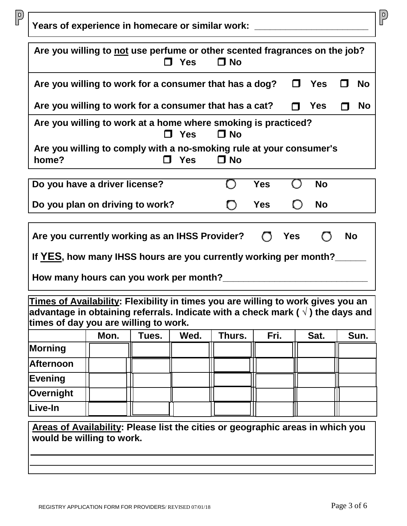|                                                                                                                                                                                                                                                         |      |       | $\Box$ Yes | Are you willing to not use perfume or other scented fragrances on the job?<br>$\Box$ No |            |                    |           |
|---------------------------------------------------------------------------------------------------------------------------------------------------------------------------------------------------------------------------------------------------------|------|-------|------------|-----------------------------------------------------------------------------------------|------------|--------------------|-----------|
| Are you willing to work for a consumer that has a dog?                                                                                                                                                                                                  |      |       |            |                                                                                         |            | $\square$ Yes      | <b>No</b> |
| Are you willing to work for a consumer that has a cat?                                                                                                                                                                                                  |      |       |            |                                                                                         |            | $\blacksquare$ Yes | <b>No</b> |
| Are you willing to work at a home where smoking is practiced?                                                                                                                                                                                           |      |       | $\Box$ Yes | $\Box$ No                                                                               |            |                    |           |
| Are you willing to comply with a no-smoking rule at your consumer's<br>home?                                                                                                                                                                            |      |       | <b>Yes</b> | $\Box$ No                                                                               |            |                    |           |
| Do you have a driver license?                                                                                                                                                                                                                           |      |       |            |                                                                                         | <b>Yes</b> | <b>No</b>          |           |
| Do you plan on driving to work?                                                                                                                                                                                                                         |      |       |            |                                                                                         | <b>Yes</b> | <b>No</b>          |           |
| If YES, how many IHSS hours are you currently working per month?                                                                                                                                                                                        |      |       |            |                                                                                         |            |                    |           |
|                                                                                                                                                                                                                                                         |      |       |            |                                                                                         |            |                    |           |
|                                                                                                                                                                                                                                                         |      |       |            |                                                                                         |            |                    |           |
|                                                                                                                                                                                                                                                         | Mon. | Tues. | Wed.       | Thurs.                                                                                  | Fri.       | Sat.               | Sun.      |
|                                                                                                                                                                                                                                                         |      |       |            |                                                                                         |            |                    |           |
| Times of Availability: Flexibility in times you are willing to work gives you an<br>advantage in obtaining referrals. Indicate with a check mark ( $\vee$ ) the days and<br>times of day you are willing to work.<br><b>Morning</b><br><b>Afternoon</b> |      |       |            |                                                                                         |            |                    |           |
| <b>Evening</b>                                                                                                                                                                                                                                          |      |       |            |                                                                                         |            |                    |           |
| Overnight                                                                                                                                                                                                                                               |      |       |            |                                                                                         |            |                    |           |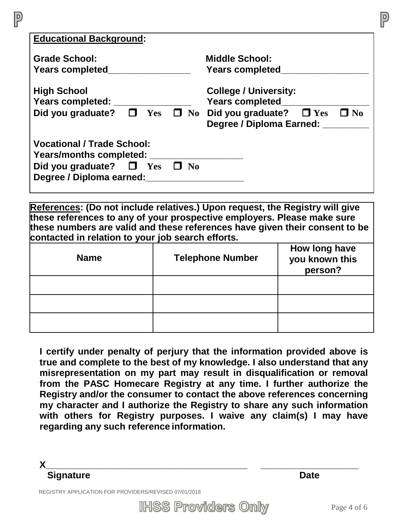| <b>Educational Background:</b>                 |                                                        |
|------------------------------------------------|--------------------------------------------------------|
|                                                |                                                        |
| <b>Grade School:</b>                           | <b>Middle School:</b>                                  |
| <b>Years completed</b>                         | <b>Years completed</b>                                 |
|                                                |                                                        |
| <b>High School</b>                             | <b>College / University:</b>                           |
| Years completed:                               | <b>Years completed</b>                                 |
| Did you graduate? $\Box$ Yes                   | $\Box$ No Did you graduate?<br>$\Box$ No<br>$\Box$ Yes |
|                                                |                                                        |
|                                                | Degree / Diploma Earned: _                             |
|                                                |                                                        |
| <b>Vocational / Trade School:</b>              |                                                        |
| Years/months completed:                        |                                                        |
| Did you graduate? $\Box$ Yes<br>N <sub>0</sub> |                                                        |
|                                                |                                                        |
| Degree / Diploma earned:                       |                                                        |
|                                                |                                                        |

**References: (Do not include relatives.) Upon request, the Registry will give these references to any of your prospective employers. Please make sure these numbers are valid and these references have given their consent to be contacted in relation to your job search efforts.**

| <b>Name</b> | <b>Telephone Number</b> | How long have<br>you known this<br>person? |
|-------------|-------------------------|--------------------------------------------|
|             |                         |                                            |
|             |                         |                                            |
|             |                         |                                            |

**I certify under penalty of perjury that the information provided above is true and complete to the best of my knowledge. I also understand that any misrepresentation on my part may result in disqualification or removal from the PASC Homecare Registry at any time. I further authorize the Registry and/or the consumer to contact the above references concerning my character and I authorize the Registry to share any such information with others for Registry purposes. I waive any claim(s) I may have regarding any such reference information.**

**X\_\_\_\_\_\_\_\_\_\_\_\_\_\_\_\_\_\_\_\_\_\_\_\_\_\_\_\_\_\_\_\_\_\_\_\_\_\_\_ \_\_\_\_\_\_\_\_\_\_\_\_\_\_\_\_\_\_\_ Signature Date** 

 $\overline{P}$ 

REGISTRY APPLICATION FOR PROVIDERS/REVISED 07/01/2018

**IHSS Providers Only**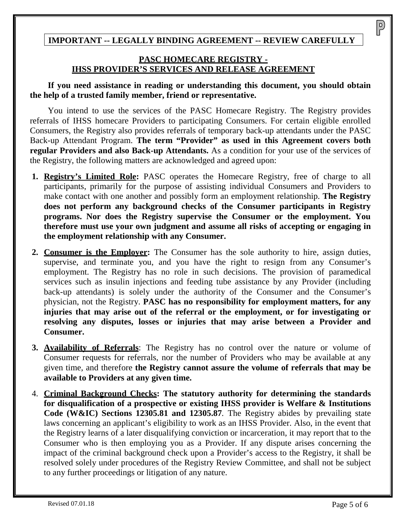## **IMPORTANT -- LEGALLY BINDING AGREEMENT -- REVIEW CAREFULLY**

## **PASC HOMECARE REGISTRY - IHSS PROVIDER'S SERVICES AND RELEASE AGREEMENT**

**If you need assistance in reading or understanding this document, you should obtain the help of a trusted family member, friend or representative.** 

You intend to use the services of the PASC Homecare Registry. The Registry provides referrals of IHSS homecare Providers to participating Consumers. For certain eligible enrolled Consumers, the Registry also provides referrals of temporary back-up attendants under the PASC Back-up Attendant Program. **The term "Provider" as used in this Agreement covers both regular Providers and also Back-up Attendants.** As a condition for your use of the services of the Registry, the following matters are acknowledged and agreed upon:

- **1. Registry's Limited Role:** PASC operates the Homecare Registry, free of charge to all participants, primarily for the purpose of assisting individual Consumers and Providers to make contact with one another and possibly form an employment relationship. **The Registry does not perform any background checks of the Consumer participants in Registry programs. Nor does the Registry supervise the Consumer or the employment. You therefore must use your own judgment and assume all risks of accepting or engaging in the employment relationship with any Consumer.**
- **2. Consumer is the Employer:** The Consumer has the sole authority to hire, assign duties, supervise, and terminate you, and you have the right to resign from any Consumer's employment. The Registry has no role in such decisions. The provision of paramedical services such as insulin injections and feeding tube assistance by any Provider (including back-up attendants) is solely under the authority of the Consumer and the Consumer's physician, not the Registry. **PASC has no responsibility for employment matters, for any injuries that may arise out of the referral or the employment, or for investigating or resolving any disputes, losses or injuries that may arise between a Provider and Consumer.**
- **3. Availability of Referrals**: The Registry has no control over the nature or volume of Consumer requests for referrals, nor the number of Providers who may be available at any given time, and therefore **the Registry cannot assure the volume of referrals that may be available to Providers at any given time.**
- 4. **Criminal Background Checks: The statutory authority for determining the standards for disqualification of a prospective or existing IHSS provider is Welfare & Institutions Code (W&IC) Sections 12305.81 and 12305.87***.* The Registry abides by prevailing state laws concerning an applicant's eligibility to work as an IHSS Provider. Also, in the event that the Registry learns of a later disqualifying conviction or incarceration, it may report that to the Consumer who is then employing you as a Provider. If any dispute arises concerning the impact of the criminal background check upon a Provider's access to the Registry, it shall be resolved solely under procedures of the Registry Review Committee, and shall not be subject to any further proceedings or litigation of any nature.

 $\overline{P}$